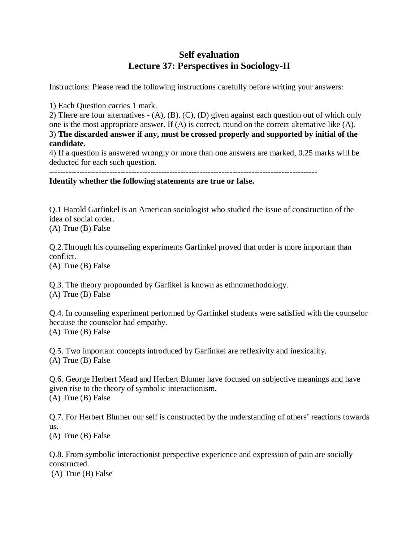## **Self evaluation Lecture 37: Perspectives in Sociology-II**

Instructions: Please read the following instructions carefully before writing your answers:

1) Each Question carries 1 mark.

2) There are four alternatives - (A), (B), (C), (D) given against each question out of which only one is the most appropriate answer. If (A) is correct, round on the correct alternative like (A). 3) **The discarded answer if any, must be crossed properly and supported by initial of the candidate.**

4) If a question is answered wrongly or more than one answers are marked, 0.25 marks will be deducted for each such question.

--------------------------------------------------------------------------------------------------

## **Identify whether the following statements are true or false.**

Q.1 Harold Garfinkel is an American sociologist who studied the issue of construction of the idea of social order.

(A) True (B) False

Q.2.Through his counseling experiments Garfinkel proved that order is more important than conflict.

(A) True (B) False

Q.3. The theory propounded by Garfikel is known as ethnomethodology. (A) True (B) False

Q.4. In counseling experiment performed by Garfinkel students were satisfied with the counselor because the counselor had empathy. (A) True (B) False

Q.5. Two important concepts introduced by Garfinkel are reflexivity and inexicality. (A) True (B) False

Q.6. George Herbert Mead and Herbert Blumer have focused on subjective meanings and have given rise to the theory of symbolic interactionism. (A) True (B) False

Q.7. For Herbert Blumer our self is constructed by the understanding of others' reactions towards us.

(A) True (B) False

Q.8. From symbolic interactionist perspective experience and expression of pain are socially constructed.

(A) True (B) False